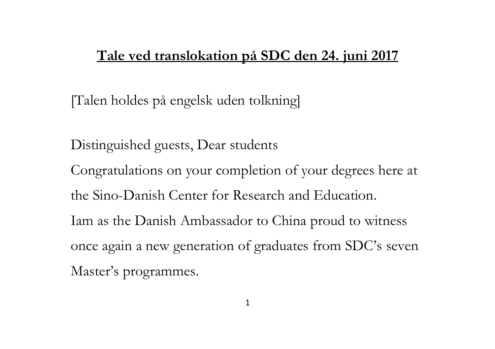## **Tale ved translokation på SDC den 24. juni 2017**

[Talen holdes på engelsk uden tolkning]

Distinguished guests, Dear students Congratulations on your completion of your degrees here at the Sino-Danish Center for Research and Education. Iam as the Danish Ambassador to China proud to witness once again a new generation of graduates from SDC's seven Master's programmes.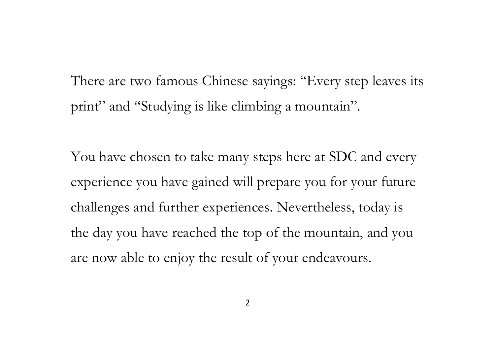There are two famous Chinese sayings: "Every step leaves its print" and "Studying is like climbing a mountain".

You have chosen to take many steps here at SDC and every experience you have gained will prepare you for your future challenges and further experiences. Nevertheless, today is the day you have reached the top of the mountain, and you are now able to enjoy the result of your endeavours.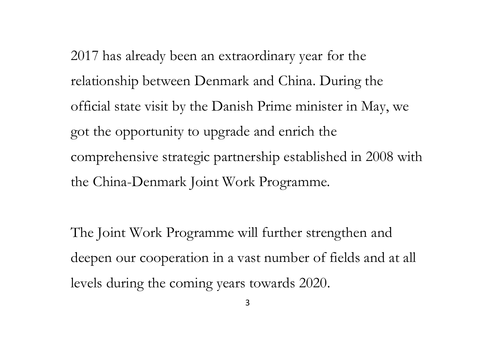2017 has already been an extraordinary year for the relationship between Denmark and China. During the official state visit by the Danish Prime minister in May, we got the opportunity to upgrade and enrich the comprehensive strategic partnership established in 2008 with the China-Denmark Joint Work Programme.

The Joint Work Programme will further strengthen and deepen our cooperation in a vast number of fields and at all levels during the coming years towards 2020.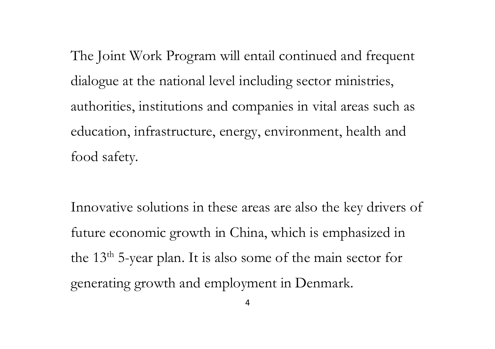The Joint Work Program will entail continued and frequent dialogue at the national level including sector ministries, authorities, institutions and companies in vital areas such as education, infrastructure, energy, environment, health and food safety.

Innovative solutions in these areas are also the key drivers of future economic growth in China, which is emphasized in the 13th 5-year plan. It is also some of the main sector for generating growth and employment in Denmark.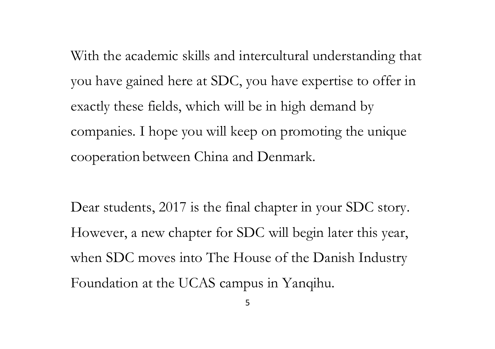With the academic skills and intercultural understanding that you have gained here at SDC, you have expertise to offer in exactly these fields, which will be in high demand by companies. I hope you will keep on promoting the unique cooperation between China and Denmark.

Dear students, 2017 is the final chapter in your SDC story. However, a new chapter for SDC will begin later this year, when SDC moves into The House of the Danish Industry Foundation at the UCAS campus in Yanqihu.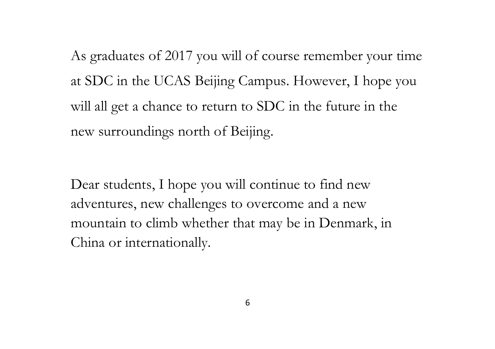As graduates of 2017 you will of course remember your time at SDC in the UCAS Beijing Campus. However, I hope you will all get a chance to return to SDC in the future in the new surroundings north of Beijing.

Dear students, I hope you will continue to find new adventures, new challenges to overcome and a new mountain to climb whether that may be in Denmark, in China or internationally.